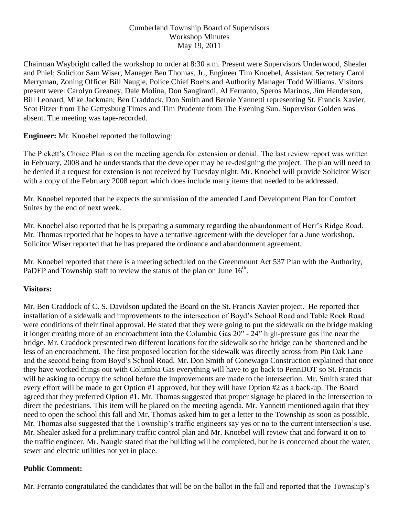### Cumberland Township Board of Supervisors Workshop Minutes May 19, 2011

Chairman Waybright called the workshop to order at 8:30 a.m. Present were Supervisors Underwood, Shealer and Phiel; Solicitor Sam Wiser, Manager Ben Thomas, Jr., Engineer Tim Knoebel, Assistant Secretary Carol Merryman, Zoning Officer Bill Naugle, Police Chief Boehs and Authority Manager Todd Williams. Visitors present were: Carolyn Greaney, Dale Molina, Don Sangirardi, Al Ferranto, Speros Marinos, Jim Henderson, Bill Leonard, Mike Jackman; Ben Craddock, Don Smith and Bernie Yannetti representing St. Francis Xavier, Scot Pitzer from The Gettysburg Times and Tim Prudente from The Evening Sun. Supervisor Golden was absent. The meeting was tape-recorded.

## **Engineer:** Mr. Knoebel reported the following:

The Pickett's Choice Plan is on the meeting agenda for extension or denial. The last review report was written in February, 2008 and he understands that the developer may be re-designing the project. The plan will need to be denied if a request for extension is not received by Tuesday night. Mr. Knoebel will provide Solicitor Wiser with a copy of the February 2008 report which does include many items that needed to be addressed.

Mr. Knoebel reported that he expects the submission of the amended Land Development Plan for Comfort Suites by the end of next week.

Mr. Knoebel also reported that he is preparing a summary regarding the abandonment of Herr's Ridge Road. Mr. Thomas reported that he hopes to have a tentative agreement with the developer for a June workshop. Solicitor Wiser reported that he has prepared the ordinance and abandonment agreement.

Mr. Knoebel reported that there is a meeting scheduled on the Greenmount Act 537 Plan with the Authority, PaDEP and Township staff to review the status of the plan on June  $16<sup>th</sup>$ .

# **Visitors:**

Mr. Ben Craddock of C. S. Davidson updated the Board on the St. Francis Xavier project. He reported that installation of a sidewalk and improvements to the intersection of Boyd's School Road and Table Rock Road were conditions of their final approval. He stated that they were going to put the sidewalk on the bridge making it longer creating more of an encroachment into the Columbia Gas 20" - 24" high-pressure gas line near the bridge. Mr. Craddock presented two different locations for the sidewalk so the bridge can be shortened and be less of an encroachment. The first proposed location for the sidewalk was directly across from Pin Oak Lane and the second being from Boyd's School Road. Mr. Don Smith of Conewago Construction explained that once they have worked things out with Columbia Gas everything will have to go back to PennDOT so St. Francis will be asking to occupy the school before the improvements are made to the intersection. Mr. Smith stated that every effort will be made to get Option #1 approved, but they will have Option #2 as a back-up. The Board agreed that they preferred Option #1. Mr. Thomas suggested that proper signage be placed in the intersection to direct the pedestrians. This item will be placed on the meeting agenda. Mr. Yannetti mentioned again that they need to open the school this fall and Mr. Thomas asked him to get a letter to the Township as soon as possible. Mr. Thomas also suggested that the Township's traffic engineers say yes or no to the current intersection's use. Mr. Shealer asked for a preliminary traffic control plan and Mr. Knoebel will review that and forward it on to the traffic engineer. Mr. Naugle stated that the building will be completed, but he is concerned about the water, sewer and electric utilities not yet in place.

#### **Public Comment:**

Mr. Ferranto congratulated the candidates that will be on the ballot in the fall and reported that the Township's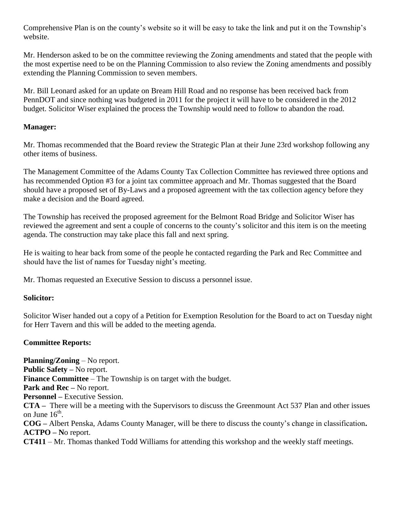Comprehensive Plan is on the county's website so it will be easy to take the link and put it on the Township's website.

Mr. Henderson asked to be on the committee reviewing the Zoning amendments and stated that the people with the most expertise need to be on the Planning Commission to also review the Zoning amendments and possibly extending the Planning Commission to seven members.

Mr. Bill Leonard asked for an update on Bream Hill Road and no response has been received back from PennDOT and since nothing was budgeted in 2011 for the project it will have to be considered in the 2012 budget. Solicitor Wiser explained the process the Township would need to follow to abandon the road.

### **Manager:**

Mr. Thomas recommended that the Board review the Strategic Plan at their June 23rd workshop following any other items of business.

The Management Committee of the Adams County Tax Collection Committee has reviewed three options and has recommended Option #3 for a joint tax committee approach and Mr. Thomas suggested that the Board should have a proposed set of By-Laws and a proposed agreement with the tax collection agency before they make a decision and the Board agreed.

The Township has received the proposed agreement for the Belmont Road Bridge and Solicitor Wiser has reviewed the agreement and sent a couple of concerns to the county's solicitor and this item is on the meeting agenda. The construction may take place this fall and next spring.

He is waiting to hear back from some of the people he contacted regarding the Park and Rec Committee and should have the list of names for Tuesday night's meeting.

Mr. Thomas requested an Executive Session to discuss a personnel issue.

# **Solicitor:**

Solicitor Wiser handed out a copy of a Petition for Exemption Resolution for the Board to act on Tuesday night for Herr Tavern and this will be added to the meeting agenda.

#### **Committee Reports:**

**Planning/Zoning** – No report. **Public Safety –** No report. **Finance Committee** – The Township is on target with the budget. **Park and Rec –** No report. **Personnel –** Executive Session. **CTA –** There will be a meeting with the Supervisors to discuss the Greenmount Act 537 Plan and other issues on June  $16^{\text{th}}$ . **COG –** Albert Penska, Adams County Manager, will be there to discuss the county's change in classification**. ACTPO – N**o report. **CT411** – Mr. Thomas thanked Todd Williams for attending this workshop and the weekly staff meetings.